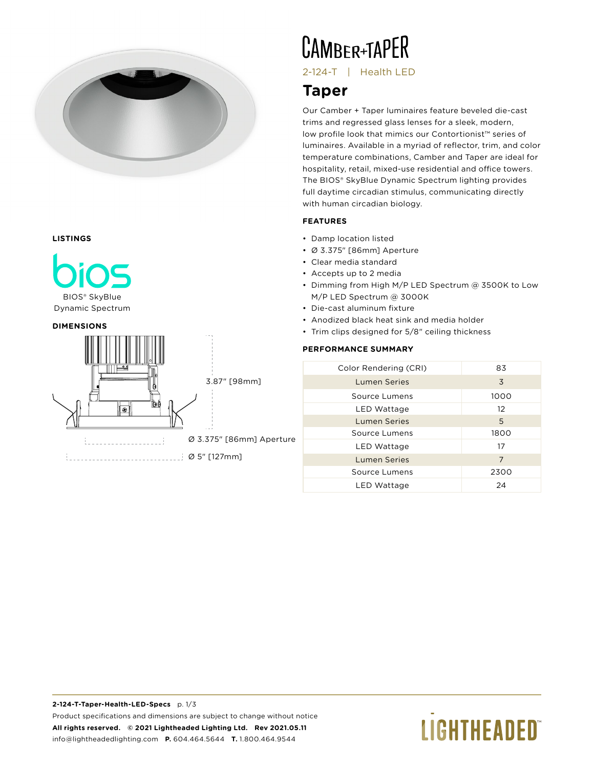

### **LISTINGS**



Dynamic Spectrum





**CAMBER+TAPER** 

2-124-T | Health LED

### **Taper**

Our Camber + Taper luminaires feature beveled die-cast trims and regressed glass lenses for a sleek, modern, low profile look that mimics our Contortionist™ series of luminaires. Available in a myriad of reflector, trim, and color temperature combinations, Camber and Taper are ideal for hospitality, retail, mixed-use residential and office towers. The BIOS® SkyBlue Dynamic Spectrum lighting provides full daytime circadian stimulus, communicating directly with human circadian biology.

### **FEATURES**

- Damp location listed
- Ø 3.375" [86mm] Aperture
- Clear media standard
- Accepts up to 2 media
- Dimming from High M/P LED Spectrum @ 3500K to Low M/P LED Spectrum @ 3000K
- Die-cast aluminum fixture
- Anodized black heat sink and media holder
- Trim clips designed for 5/8" ceiling thickness

### **PERFORMANCE SUMMARY**

| Color Rendering (CRI) | 83   |
|-----------------------|------|
| <b>Lumen Series</b>   | 3    |
| Source Lumens         | 1000 |
| LED Wattage           | 12   |
| <b>Lumen Series</b>   | 5    |
| Source Lumens         | 1800 |
| LED Wattage           | 17   |
| <b>Lumen Series</b>   | 7    |
| Source Lumens         | 2300 |
| LED Wattage           | 24   |

# **LIGHTHEADED**®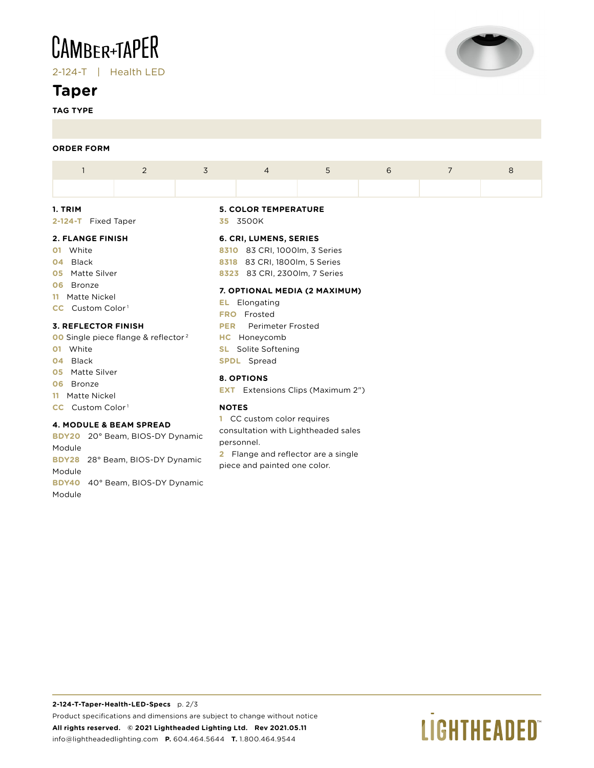## **CAMBER+TAPER**

2-124-T | Health LED

### **Taper**

**TAG TYPE**



#### **ORDER FORM**

**06** Bronze **11** Matte Nickel **CC** Custom Color<sup>1</sup> **3. REFLECTOR FINISH**

**01** White **04** Black **05** Matte Silver **06** Bronze **11** Matte Nickel **CC** Custom Color<sup>1</sup>

|                         |  | 2 | 3 | $\overline{4}$                   | 5 | 6 |  | 8 |  |  |  |
|-------------------------|--|---|---|----------------------------------|---|---|--|---|--|--|--|
|                         |  |   |   |                                  |   |   |  |   |  |  |  |
| 1. TRIM                 |  |   |   | <b>5. COLOR TEMPERATURE</b>      |   |   |  |   |  |  |  |
| 2-124-T Fixed Taper     |  |   |   | 35 3500K                         |   |   |  |   |  |  |  |
| <b>2. FLANGE FINISH</b> |  |   |   | 6. CRI, LUMENS, SERIES           |   |   |  |   |  |  |  |
| White<br>01             |  |   |   | 83 CRI, 1000lm, 3 Series<br>8310 |   |   |  |   |  |  |  |
| Black<br>04             |  |   |   | 83 CRI, 1800lm, 5 Series<br>8318 |   |   |  |   |  |  |  |
| Matte Silver<br>05      |  |   |   | 83 CRI, 2300lm, 7 Series<br>8323 |   |   |  |   |  |  |  |

#### **7. OPTIONAL MEDIA (2 MAXIMUM)**

- **EL** Elongating
- **FRO** Frosted
- **PER** Perimeter Frosted
- **HC** Honeycomb
- **SL** Solite Softening **SPDL** Spread

### **8. OPTIONS**

**EXT** Extensions Clips (Maximum 2")

### **NOTES**

**1** CC custom color requires consultation with Lightheaded sales personnel.

**2** Flange and reflector are a single piece and painted one color.

Module **BDY28** 28° Beam, BIOS-DY Dynamic Module **BDY40** 40° Beam, BIOS-DY Dynamic Module

**BDY20** 20° Beam, BIOS-DY Dynamic

**4. MODULE & BEAM SPREAD**

**00** Single piece flange & reflector<sup>2</sup>

### **2-124-T-Taper-Health-LED-Specs** p. 2/3 Product specifications and dimensions are subject to change without notice **All rights reserved. © 2021 Lightheaded Lighting Ltd. Rev 2021.05.11** info@lightheadedlighting.com **P.** 604.464.5644 **T.** 1.800.464.9544

# **LIGHTHEADED**